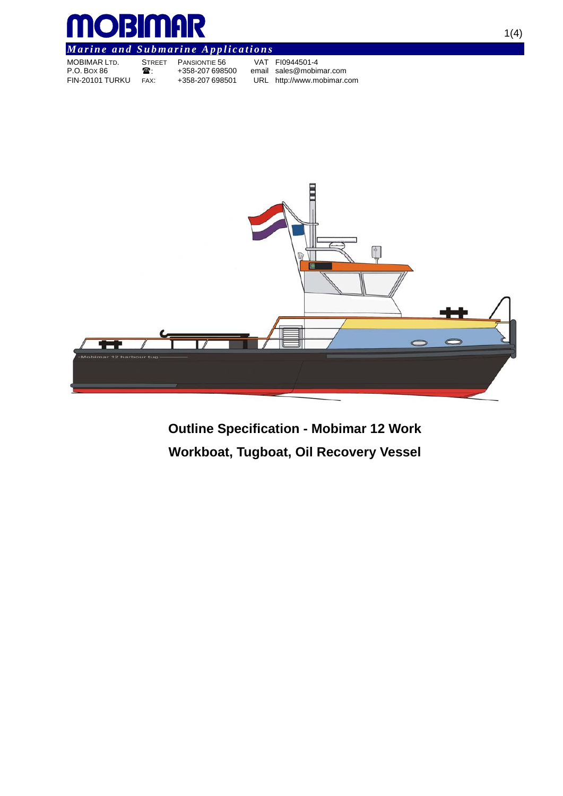

# *Marine and Submarine Applications*

| <b>MOBIMAR LTD.</b> | <b>STREET</b> | <b>PANSIONTIE 56</b> | VAT FI0944501-4            |
|---------------------|---------------|----------------------|----------------------------|
| P.O. Box 86         | ж.            | +358-207 698500      | email sales@mobimar.com    |
| FIN-20101 TURKU     | FAX:          | +358-207 698501      | URL http://www.mobimar.com |



**Outline Specification - Mobimar 12 Work Workboat, Tugboat, Oil Recovery Vessel**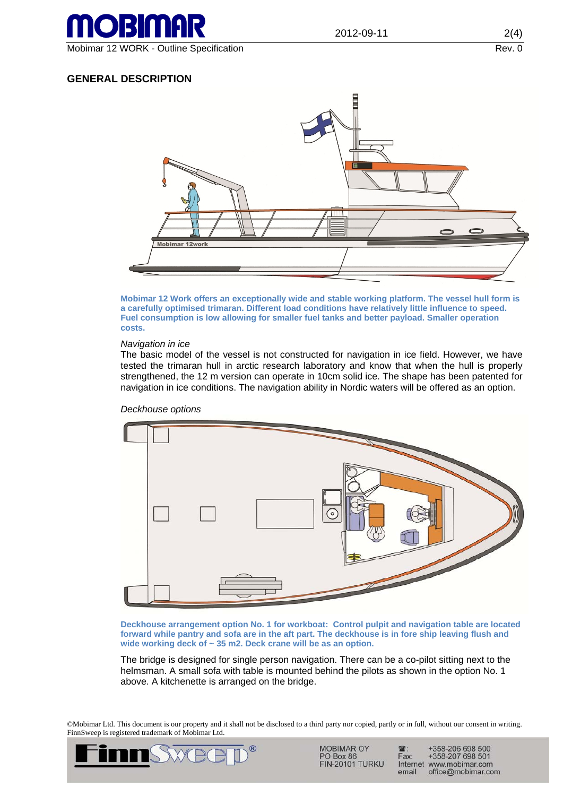

## Mobimar 12 WORK - Outline Specification **Rev. 0** Notice that the state of the state of the state of the state of the state of the state of the state of the state of the state of the state of the state of the state of the s

## **GENERAL DESCRIPTION**



**Mobimar 12 Work offers an exceptionally wide and stable working platform. The vessel hull form is a carefully optimised trimaran. Different load conditions have relatively little influence to speed. Fuel consumption is low allowing for smaller fuel tanks and better payload. Smaller operation costs.** 

#### *Navigation in ice*

The basic model of the vessel is not constructed for navigation in ice field. However, we have tested the trimaran hull in arctic research laboratory and know that when the hull is properly strengthened, the 12 m version can operate in 10cm solid ice. The shape has been patented for navigation in ice conditions. The navigation ability in Nordic waters will be offered as an option.



#### *Deckhouse options*

**Deckhouse arrangement option No. 1 for workboat: Control pulpit and navigation table are located forward while pantry and sofa are in the aft part. The deckhouse is in fore ship leaving flush and wide working deck of ~ 35 m2. Deck crane will be as an option.** 

The bridge is designed for single person navigation. There can be a co-pilot sitting next to the helmsman. A small sofa with table is mounted behind the pilots as shown in the option No. 1 above. A kitchenette is arranged on the bridge.

©Mobimar Ltd. This document is our property and it shall not be disclosed to a third party nor copied, partly or in full, without our consent in writing. FinnSweep is registered trademark of Mobimar Ltd.



**MOBIMAR OY** PO Box 86 **FIN-20101 TURKU** 

+358-206 698 500<br>+358-207 698 501  $\mathbf{R}$ Fax: Internet www.mobimar.com email office@mobimar.com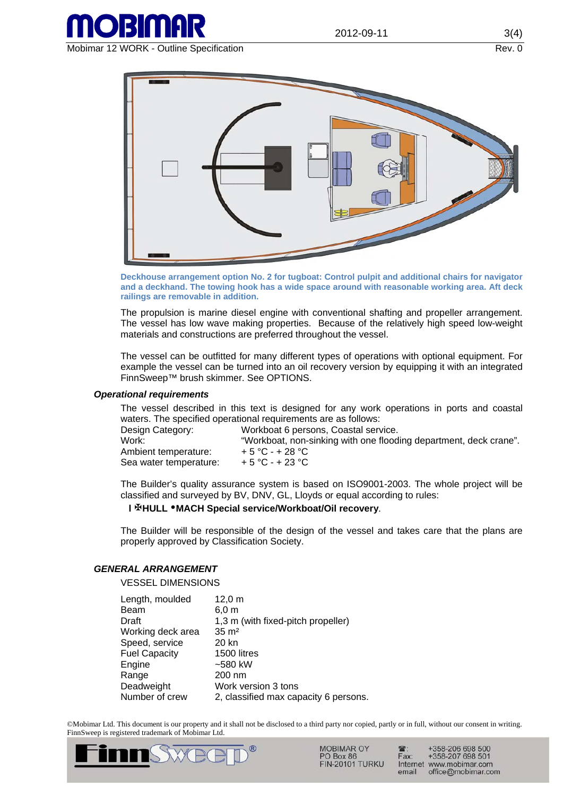

Mobimar 12 WORK - Outline Specification **Rev. 0** Notice and Rev. 0



**Deckhouse arrangement option No. 2 for tugboat: Control pulpit and additional chairs for navigator and a deckhand. The towing hook has a wide space around with reasonable working area. Aft deck railings are removable in addition.** 

The propulsion is marine diesel engine with conventional shafting and propeller arrangement. The vessel has low wave making properties. Because of the relatively high speed low-weight materials and constructions are preferred throughout the vessel.

The vessel can be outfitted for many different types of operations with optional equipment. For example the vessel can be turned into an oil recovery version by equipping it with an integrated FinnSweep™ brush skimmer. See OPTIONS.

#### *Operational requirements*

The vessel described in this text is designed for any work operations in ports and coastal waters. The specified operational requirements are as follows:

| Design Category:       | Workboat 6 persons, Coastal service.                              |
|------------------------|-------------------------------------------------------------------|
| Work:                  | "Workboat, non-sinking with one flooding department, deck crane". |
| Ambient temperature:   | $+5 °C - +28 °C$                                                  |
| Sea water temperature: | $+5 °C - +23 °C$                                                  |

The Builder's quality assurance system is based on ISO9001-2003. The whole project will be classified and surveyed by BV, DNV, GL, Lloyds or equal according to rules:

### **l HULL MACH Special service/Workboat/Oil recovery**.

The Builder will be responsible of the design of the vessel and takes care that the plans are properly approved by Classification Society.

### *GENERAL ARRANGEMENT*

VESSEL DIMENSIONS

| Length, moulded      | $12,0 \; m$                           |
|----------------------|---------------------------------------|
| Beam                 | $6,0 \text{ m}$                       |
| Draft                | 1,3 m (with fixed-pitch propeller)    |
| Working deck area    | $35 \text{ m}^2$                      |
| Speed, service       | 20 kn                                 |
| <b>Fuel Capacity</b> | 1500 litres                           |
| Engine               | $-580$ kW                             |
| Range                | 200 nm                                |
| Deadweight           | Work version 3 tons                   |
| Number of crew       | 2, classified max capacity 6 persons. |

©Mobimar Ltd. This document is our property and it shall not be disclosed to a third party nor copied, partly or in full, without our consent in writing. FinnSweep is registered trademark of Mobimar Ltd.



MOBIMAR OY PO Box 86 **FIN-20101 TURKU** 

+358-206 698 500<br>+358-207 698 501 Fax: Internet www.mobimar.com email office@mobimar.com